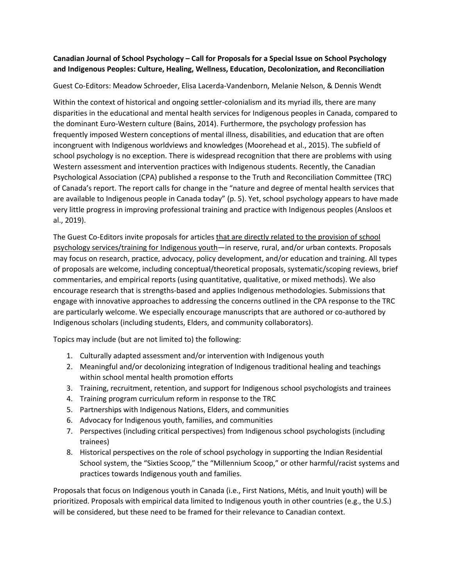## **Canadian Journal of School Psychology – Call for Proposals for a Special Issue on School Psychology and Indigenous Peoples: Culture, Healing, Wellness, Education, Decolonization, and Reconciliation**

Guest Co-Editors: Meadow Schroeder, Elisa Lacerda-Vandenborn, Melanie Nelson, & Dennis Wendt

Within the context of historical and ongoing settler-colonialism and its myriad ills, there are many disparities in the educational and mental health services for Indigenous peoples in Canada, compared to the dominant Euro-Western culture (Bains, 2014). Furthermore, the psychology profession has frequently imposed Western conceptions of mental illness, disabilities, and education that are often incongruent with Indigenous worldviews and knowledges (Moorehead et al., 2015). The subfield of school psychology is no exception. There is widespread recognition that there are problems with using Western assessment and intervention practices with Indigenous students. Recently, the Canadian Psychological Association (CPA) published a response to the Truth and Reconciliation Committee (TRC) of Canada's report. The report calls for change in the "nature and degree of mental health services that are available to Indigenous people in Canada today" (p. 5). Yet, school psychology appears to have made very little progress in improving professional training and practice with Indigenous peoples (Ansloos et al., 2019).

The Guest Co-Editors invite proposals for articles that are directly related to the provision of school psychology services/training for Indigenous youth—in reserve, rural, and/or urban contexts. Proposals may focus on research, practice, advocacy, policy development, and/or education and training. All types of proposals are welcome, including conceptual/theoretical proposals, systematic/scoping reviews, brief commentaries, and empirical reports (using quantitative, qualitative, or mixed methods). We also encourage research that is strengths-based and applies Indigenous methodologies. Submissions that engage with innovative approaches to addressing the concerns outlined in the CPA response to the TRC are particularly welcome. We especially encourage manuscripts that are authored or co-authored by Indigenous scholars (including students, Elders, and community collaborators).

Topics may include (but are not limited to) the following:

- 1. Culturally adapted assessment and/or intervention with Indigenous youth
- 2. Meaningful and/or decolonizing integration of Indigenous traditional healing and teachings within school mental health promotion efforts
- 3. Training, recruitment, retention, and support for Indigenous school psychologists and trainees
- 4. Training program curriculum reform in response to the TRC
- 5. Partnerships with Indigenous Nations, Elders, and communities
- 6. Advocacy for Indigenous youth, families, and communities
- 7. Perspectives (including critical perspectives) from Indigenous school psychologists (including trainees)
- 8. Historical perspectives on the role of school psychology in supporting the Indian Residential School system, the "Sixties Scoop," the "Millennium Scoop," or other harmful/racist systems and practices towards Indigenous youth and families.

Proposals that focus on Indigenous youth in Canada (i.e., First Nations, Métis, and Inuit youth) will be prioritized. Proposals with empirical data limited to Indigenous youth in other countries (e.g., the U.S.) will be considered, but these need to be framed for their relevance to Canadian context.